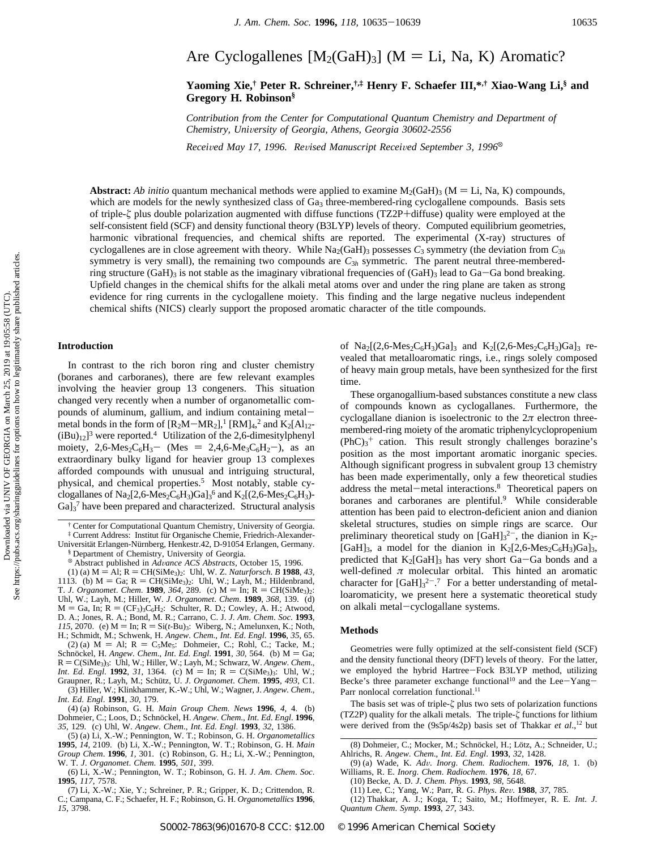# Are Cyclogallenes  $[M_2(GaH)_3]$  (M = Li, Na, K) Aromatic?

**Yaoming Xie,† Peter R. Schreiner,†,‡ Henry F. Schaefer III,\*,† Xiao-Wang Li,§ and Gregory H. Robinson§**

*Contribution from the Center for Computational Quantum Chemistry and Department of Chemistry, Uni*V*ersity of Georgia, Athens, Georgia 30602-2556*

*Received May 17, 1996. Revised Manuscript Received September 3, 1996*<sup>®</sup>

**Abstract:** *Ab initio* quantum mechanical methods were applied to examine  $M_2(GaH)_3$  ( $M = Li$ , Na, K) compounds, which are models for the newly synthesized class of Ga<sub>3</sub> three-membered-ring cyclogallene compounds. Basis sets of triple-*ú* plus double polarization augmented with diffuse functions (TZ2P+diffuse) quality were employed at the self-consistent field (SCF) and density functional theory (B3LYP) levels of theory. Computed equilibrium geometries, harmonic vibrational frequencies, and chemical shifts are reported. The experimental (X-ray) structures of cyclogallenes are in close agreement with theory. While Na<sub>2</sub>(GaH)<sub>3</sub> possesses  $C_3$  symmetry (the deviation from  $C_{3h}$ symmetry is very small), the remaining two compounds are  $C_{3h}$  symmetric. The parent neutral three-memberedring structure (GaH)<sub>3</sub> is not stable as the imaginary vibrational frequencies of (GaH)<sub>3</sub> lead to Ga-Ga bond breaking. Upfield changes in the chemical shifts for the alkali metal atoms over and under the ring plane are taken as strong evidence for ring currents in the cyclogallene moiety. This finding and the large negative nucleus independent chemical shifts (NICS) clearly support the proposed aromatic character of the title compounds.

#### **Introduction**

In contrast to the rich boron ring and cluster chemistry (boranes and carboranes), there are few relevant examples involving the heavier group 13 congeners. This situation changed very recently when a number of organometallic compounds of aluminum, gallium, and indium containing metalmetal bonds in the form of  $[R_2M-MR_2]$ ,<sup>1</sup>  $[RM]_4$ ,<sup>2</sup> and  $K_2[A]_{12}$ - $(iBu)_{12}$ <sup>3</sup> were reported.<sup>4</sup> Utilization of the 2,6-dimesitylphenyl moiety, 2,6-Mes<sub>2</sub>C<sub>6</sub>H<sub>3</sub>- (Mes = 2,4,6-Me<sub>3</sub>C<sub>6</sub>H<sub>2</sub>-), as an extraordinary bulky ligand for heavier group 13 complexes afforded compounds with unusual and intriguing structural, physical, and chemical properties.5 Most notably, stable cyclogallanes of Na<sub>2</sub>[2,6-Mes<sub>2</sub>C<sub>6</sub>H<sub>3</sub>)Ga]<sub>3</sub><sup>6</sup> and K<sub>2</sub>[(2,6-Mes<sub>2</sub>C<sub>6</sub>H<sub>3</sub>)-Ga]<sub>3</sub>7 have been prepared and characterized. Structural analysis

 $(1)$  (a)  $M = AI$ ;  $R = CH(SiMe<sub>3</sub>)<sub>2</sub>$ : Uhl, W. Z. *Naturforsch*. *B* **1988**, *43*, 1113. (b)  $M = Ga$ ;  $R = CH(SiMe<sub>3</sub>)<sub>2</sub>$ : Uhl, W.; Layh, M.; Hildenbrand, T. *J. Organomet. Chem.* **1989**, *364*, 289. (c)  $M = In; R = CH(SiMe<sub>3</sub>)<sub>2</sub>$ : Uhl, W.; Layh, M.; Hiller, W. *J*. *Organomet*. *Chem*. **1989**, *368*, 139. (d)  $M = Ga$ , In;  $R = (CF<sub>3</sub>)<sub>3</sub>C<sub>6</sub>H<sub>2</sub>$ : Schulter, R. D.; Cowley, A. H.; Atwood, D. A.; Jones, R. A.; Bond, M. R.; Carrano, C. J. *J*. *Am*. *Chem*. *Soc*. **1993**, *115*, 2070. (e)  $M = In; R = Si(t-Bu)$ 3: Wiberg, N.; Amelunxen, K.; Noth, H.; Schmidt, M.; Schwenk, H. *Angew*. *Chem*., *Int*. *Ed*. *Engl*. **1996**, *35*, 65.

(2) (a)  $M = Al$ ;  $R = C_5Me_5$ : Dohmeier, C.; Rohl, C.; Tacke, M.; Schno¨ckel, H. *Angew*. *Chem*., *Int*. *Ed*. *Engl*. **1991**, *30*, 564. (b) M ) Ga;  $R = C(SiMe<sub>3</sub>)$ <sub>3</sub>: Uhl, W.; Hiller, W.; Layh, M.; Schwarz, W. *Angew. Chem.*, *Int. Ed. Engl.* **1992**, 31, 1364. (c)  $M = In; R = C(SiMe<sub>3</sub>)$ ; Uhl, W.; Graupner, R.; Layh, M.; Schu¨tz, U. *J*. *Organomet*. *Chem*. **1995**, *493*, C1.

(3) Hiller, W.; Klinkhammer, K.-W.; Uhl, W.; Wagner, J. *Angew*. *Chem*., *Int*. *Ed*. *Engl*. **1991**, *30*, 179.

(4) (a) Robinson, G. H. *Main Group Chem*. *News* **1996**, *4*, 4. (b) Dohmeier, C.; Loos, D.; Schnöckel, H. Angew. Chem., Int. Ed. Engl. 1996, *35*, 129. (c) Uhl, W. *Angew*. *Chem*., *Int*. *Ed*. *Engl*. **1993**, *32*, 1386.

(5) (a) Li, X.-W.; Pennington, W. T.; Robinson, G. H. *Organometallics* **1995**, *14*, 2109. (b) Li, X.-W.; Pennington, W. T.; Robinson, G. H. *Main Group Chem*. **1996**, *1*, 301. (c) Robinson, G. H.; Li, X.-W.; Pennington, W. T. *J*. *Organomet*. *Chem*. **1995**, *501*, 399.

(6) Li, X.-W.; Pennington, W. T.; Robinson, G. H. *J*. *Am*. *Chem*. *Soc*. **1995**, *117*, 7578.

of  $Na_2[(2,6-Mes_2C_6H_3)Ga]_3$  and  $K_2[(2,6-Mes_2C_6H_3)Ga]_3$  revealed that metalloaromatic rings, i.e., rings solely composed of heavy main group metals, have been synthesized for the first time.

These organogallium-based substances constitute a new class of compounds known as cyclogallanes. Furthermore, the cyclogallane dianion is isoelectronic to the 2*π* electron threemembered-ring moiety of the aromatic triphenylcyclopropenium  $(PhC)<sub>3</sub>$ <sup>+</sup> cation. This result strongly challenges borazine's position as the most important aromatic inorganic species. Although significant progress in subvalent group 13 chemistry has been made experimentally, only a few theoretical studies address the metal-metal interactions.8 Theoretical papers on boranes and carboranes are plentiful.<sup>9</sup> While considerable attention has been paid to electron-deficient anion and dianion skeletal structures, studies on simple rings are scarce. Our preliminary theoretical study on  $[\hat{Gal}]_3^{2-}$ , the dianion in K<sub>2</sub>-[GaH]<sub>3</sub>, a model for the dianion in K<sub>2</sub>[2,6-Mes<sub>2</sub>C<sub>6</sub>H<sub>3</sub>)Ga]<sub>3</sub>, predicted that  $K_2[GaH]_3$  has very short  $Ga-Ga$  bonds and a well-defined *π* molecular orbital. This hinted an aromatic character for  $[GaH]_3^{2-7}$  For a better understanding of metalloaromaticity, we present here a systematic theoretical study on alkali metal-cyclogallane systems.

## **Methods**

Geometries were fully optimized at the self-consistent field (SCF) and the density functional theory (DFT) levels of theory. For the latter, we employed the hybrid Hartree-Fock B3LYP method, utilizing Becke's three parameter exchange functional<sup>10</sup> and the Lee-Yang-Parr nonlocal correlation functional.<sup>11</sup>

The basis set was of triple-*ú* plus two sets of polarization functions (TZ2P) quality for the alkali metals. The triple-*ú* functions for lithium were derived from the (9s5p/4s2p) basis set of Thakkar et al.,<sup>12</sup> but

<sup>†</sup> Center for Computational Quantum Chemistry, University of Georgia. ‡ Current Address: Institut fu¨r Organische Chemie, Friedrich-Alexander-Universität Erlangen-Nürnberg, Henkestr.42, D-91054 Erlangen, Germany.

<sup>§</sup> Department of Chemistry, University of Georgia.

<sup>X</sup> Abstract published in *Ad*V*ance ACS Abstracts,* October 15, 1996.

<sup>(7)</sup> Li, X.-W.; Xie, Y.; Schreiner, P. R.; Gripper, K. D.; Crittendon, R. C.; Campana, C. F.; Schaefer, H. F.; Robinson, G. H. *Organometallics* **1996**, *15*, 3798.

<sup>(8)</sup> Dohmeier, C.; Mocker, M.; Schnöckel, H.; Lötz, A.; Schneider, U.; Ahlrichs, R. *Angew*. *Chem*., *Int*. *Ed*. *Engl*. **1993**, *32*, 1428.

<sup>(9) (</sup>a) Wade, K. *Ad*V. *Inorg*. *Chem*. *Radiochem*. **1976**, *18*, 1. (b) Williams, R. E. *Inorg*. *Chem*. *Radiochem*. **1976**, *18*, 67.

<sup>(10)</sup> Becke, A. D. *J*. *Chem*. *Phys*. **1993**, *98*, 5648.

<sup>(11)</sup> Lee, C.; Yang, W.; Parr, R. G. *Phys*. *Re*V. **1988**, *37*, 785.

<sup>(12)</sup> Thakkar, A. J.; Koga, T.; Saito, M.; Hoffmeyer, R. E. *Int*. *J*. *Quantum Chem*. *Symp*. **1993**, *27*, 343.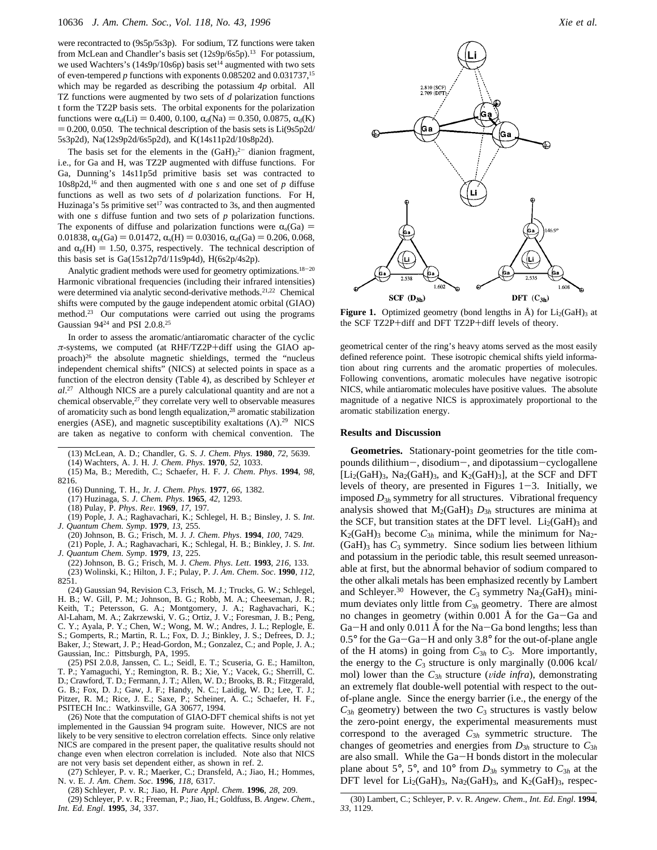were recontracted to (9s5p/5s3p). For sodium, TZ functions were taken from McLean and Chandler's basis set (12s9p/6s5p).<sup>13</sup> For potassium, we used Wachters's ( $14s9p/10s6p$ ) basis set<sup>14</sup> augmented with two sets of even-tempered *p* functions with exponents 0.085202 and 0.031737,15 which may be regarded as describing the potassium *4p* orbital. All TZ functions were augmented by two sets of *d* polarization functions t form the TZ2P basis sets. The orbital exponents for the polarization functions were  $\alpha_d(Li) = 0.400, 0.100, \alpha_d(Na) = 0.350, 0.0875, \alpha_d(K)$  $= 0.200, 0.050$ . The technical description of the basis sets is Li(9s5p2d/ 5s3p2d), Na(12s9p2d/6s5p2d), and K(14s11p2d/10s8p2d).

The basis set for the elements in the  $(GaH)<sub>3</sub><sup>2</sup>$  dianion fragment, i.e., for Ga and H, was TZ2P augmented with diffuse functions. For Ga, Dunning's 14s11p5d primitive basis set was contracted to  $10s8p2d$ ,<sup>16</sup> and then augmented with one *s* and one set of *p* diffuse functions as well as two sets of *d* polarization functions. For H, Huzinaga's 5s primitive set<sup>17</sup> was contracted to 3s, and then augmented with one *s* diffuse funtion and two sets of *p* polarization functions. The exponents of diffuse and polarization functions were  $\alpha_s(Ga)$  = 0.01838,  $\alpha_p(Ga) = 0.01472$ ,  $\alpha_s(H) = 0.03016$ ,  $\alpha_d(Ga) = 0.206$ , 0.068, and  $\alpha_p(H) = 1.50, 0.375$ , respectively. The technical description of this basis set is Ga(15s12p7d/11s9p4d), H(6s2p/4s2p).

Analytic gradient methods were used for geometry optimizations.<sup>18-20</sup> Harmonic vibrational frequencies (including their infrared intensities) were determined via analytic second-derivative methods.<sup>21,22</sup> Chemical shifts were computed by the gauge independent atomic orbital (GIAO) method.23 Our computations were carried out using the programs Gaussian  $94^{24}$  and PSI 2.0.8.<sup>25</sup>

In order to assess the aromatic/antiaromatic character of the cyclic *π*-systems, we computed (at RHF/TZ2P+diff using the GIAO approach)26 the absolute magnetic shieldings, termed the "nucleus independent chemical shifts" (NICS) at selected points in space as a function of the electron density (Table 4), as described by Schleyer *et al*. <sup>27</sup> Although NICS are a purely calculational quantity and are not a chemical observable,<sup>27</sup> they correlate very well to observable measures of aromaticity such as bond length equalization,28 aromatic stabilization energies (ASE), and magnetic susceptibility exaltations  $(Λ)<sup>29</sup>$  NICS are taken as negative to conform with chemical convention. The

(13) McLean, A. D.; Chandler, G. S. *J*. *Chem*. *Phys*. **1980**, *72*, 5639.

(14) Wachters, A. J. H. *J*. *Chem*. *Phys*. **1970**, *52*, 1033.

(15) Ma, B.; Meredith, C.; Schaefer, H. F. *J*. *Chem*. *Phys*. **1994**, *98*, 8216.

(16) Dunning, T. H., Jr. *J*. *Chem*. *Phys*. **1977**, *66*, 1382.

(17) Huzinaga, S. *J*. *Chem*. *Phys*. **1965**, *42*, 1293.

(18) Pulay, P. *Phys*. *Re*V. **1969**, *17*, 197.

(19) Pople, J. A.; Raghavachari, K.; Schlegel, H. B.; Binsley, J. S. *Int*. *J*. *Quantum Chem*. *Symp*. **1979**, *13*, 255.

(20) Johnson, B. G.; Frisch, M. J. *J*. *Chem*. *Phys*. **1994**, *100*, 7429. (21) Pople, J. A.; Raghavachari, K.; Schlegal, H. B.; Binkley, J. S. *Int*. *J*. *Quantum Chem*. *Symp*. **1979**, *13*, 225.

(22) Johnson, B. G.; Frisch, M. J. *Chem*. *Phys*. *Lett*. **1993**, *216*, 133. (23) Wolinski, K.; Hilton, J. F.; Pulay, P. *J*. *Am*. *Chem*. *Soc*. **1990**, *112*, 8251.

(24) Gaussian 94, Revision C.3, Frisch, M. J.; Trucks, G. W.; Schlegel, H. B.; W. Gill, P. M.; Johnson, B. G.; Robb, M. A.; Cheeseman, J. R.; Keith, T.; Petersson, G. A.; Montgomery, J. A.; Raghavachari, K.; Al-Laham, M. A.; Zakrzewski, V. G.; Ortiz, J. V.; Foresman, J. B.; Peng, C. Y.; Ayala, P. Y.; Chen, W.; Wong, M. W.; Andres, J. L.; Replogle, E. S.; Gomperts, R.; Martin, R. L.; Fox, D. J.; Binkley, J. S.; Defrees, D. J.; Baker, J.; Stewart, J. P.; Head-Gordon, M.; Gonzalez, C.; and Pople, J. A.; Gaussian, Inc.: Pittsburgh, PA, 1995.

(25) PSI 2.0.8, Janssen, C. L.; Seidl, E. T.; Scuseria, G. E.; Hamilton, T. P.; Yamaguchi, Y.; Remington, R. B.; Xie, Y.; Vacek, G.; Sherrill, C. D.; Crawford, T. D.; Fermann, J. T.; Allen, W. D.; Brooks, B. R.; Fitzgerald, G. B.; Fox, D. J.; Gaw, J. F.; Handy, N. C.; Laidig, W. D.; Lee, T. J.; Pitzer, R. M.; Rice, J. E.; Saxe, P.; Scheiner, A. C.; Schaefer, H. F., PSITECH Inc.: Watkinsville, GA 30677, 1994.

(26) Note that the computation of GIAO-DFT chemical shifts is not yet implemented in the Gaussian 94 program suite. However, NICS are not likely to be very sensitive to electron correlation effects. Since only relative NICS are compared in the present paper, the qualitative results should not change even when electron correlation is included. Note also that NICS are not very basis set dependent either, as shown in ref. 2.

(27) Schleyer, P. v. R.; Maerker, C.; Dransfeld, A.; Jiao, H.; Hommes, N. v. E. *J*. *Am*. *Chem*. *Soc*. **1996**, *118*, 6317.

(28) Schleyer, P. v. R.; Jiao, H. *Pure Appl*. *Chem*. **1996**, *28*, 209.

(29) Schleyer, P. v. R.; Freeman, P.; Jiao, H.; Goldfuss, B. *Angew*. *Chem*., *Int*. *Ed*. *Engl*. **1995**, *34*, 337.



**Figure 1.** Optimized geometry (bond lengths in  $\AA$ ) for  $Li_2(GaH)_3$  at the SCF TZ2P+diff and DFT TZ2P+diff levels of theory.

geometrical center of the ring's heavy atoms served as the most easily defined reference point. These isotropic chemical shifts yield information about ring currents and the aromatic properties of molecules. Following conventions, aromatic molecules have negative isotropic NICS, while antiaromatic molecules have positive values. The absolute magnitude of a negative NICS is approximately proportional to the aromatic stabilization energy.

#### **Results and Discussion**

**Geometries.** Stationary-point geometries for the title compounds dilithium-, disodium-, and dipotassium-cyclogallene  $[Li_2(GaH)_3, Na_2(GaH)_3, and K_2(GaH)_3]$ , at the SCF and DFT levels of theory, are presented in Figures  $1-3$ . Initially, we imposed *D*<sup>3</sup>*<sup>h</sup>* symmetry for all structures. Vibrational frequency analysis showed that  $M_2(GaH)$ <sub>3</sub> *D*<sub>3*h*</sub> structures are minima at the SCF, but transition states at the DFT level.  $Li_2(GaH)_3$  and  $K_2(GaH)_3$  become  $C_{3h}$  minima, while the minimum for Na<sub>2</sub>- $(GaH)<sub>3</sub>$  has  $C<sub>3</sub>$  symmetry. Since sodium lies between lithium and potassium in the periodic table, this result seemed unreasonable at first, but the abnormal behavior of sodium compared to the other alkali metals has been emphasized recently by Lambert and Schleyer.<sup>30</sup> However, the  $C_3$  symmetry Na<sub>2</sub>(GaH)<sub>3</sub> minimum deviates only little from *C*<sup>3</sup>*<sup>h</sup>* geometry. There are almost no changes in geometry (within 0.001 Å for the Ga-Ga and  $Ga-H$  and only 0.011 Å for the Na-Ga bond lengths; less than 0.5° for the Ga-Ga-H and only 3.8° for the out-of-plane angle of the H atoms) in going from  $C_{3h}$  to  $C_3$ . More importantly, the energy to the  $C_3$  structure is only marginally  $(0.006 \text{ kcal})$ mol) lower than the  $C_{3h}$  structure (vide infra), demonstrating an extremely flat double-well potential with respect to the outof-plane angle. Since the energy barrier (i.e., the energy of the  $C_{3h}$  geometry) between the two  $C_3$  structures is vastly below the zero-point energy, the experimental measurements must correspond to the averaged *C*<sup>3</sup>*<sup>h</sup>* symmetric structure. The changes of geometries and energies from  $D_{3h}$  structure to  $C_{3h}$ are also small. While the Ga-H bonds distort in the molecular plane about 5°, 5°, and 10° from  $D_{3h}$  symmetry to  $C_{3h}$  at the DFT level for  $Li_2(GaH)_3$ , Na<sub>2</sub>(GaH)<sub>3</sub>, and K<sub>2</sub>(GaH)<sub>3</sub>, respec-

<sup>(30)</sup> Lambert, C.; Schleyer, P. v. R. *Angew*. *Chem*., *Int*. *Ed*. *Engl*. **1994**, *33*, 1129.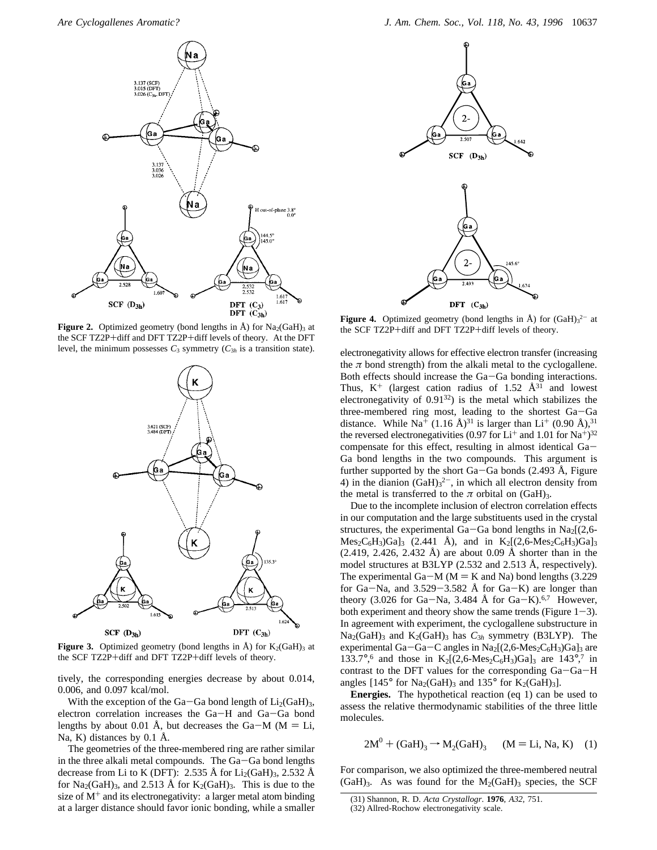

**Figure 2.** Optimized geometry (bond lengths in  $\AA$ ) for  $\text{Na}_2(\text{GaH})_3$  at the SCF TZ2P+diff and DFT TZ2P+diff levels of theory. At the DFT level, the minimum possesses  $C_3$  symmetry  $(C_{3h}$  is a transition state).



**Figure 3.** Optimized geometry (bond lengths in  $\AA$ ) for  $K_2(GaH)$ <sub>3</sub> at the SCF TZ2P+diff and DFT TZ2P+diff levels of theory.

tively, the corresponding energies decrease by about 0.014, 0.006, and 0.097 kcal/mol.

With the exception of the Ga-Ga bond length of  $Li_2(GaH)_3$ , electron correlation increases the Ga-H and Ga-Ga bond lengths by about 0.01 Å, but decreases the Ga-M ( $M = Li$ , Na, K) distances by 0.1 Å.

The geometries of the three-membered ring are rather similar in the three alkali metal compounds. The Ga-Ga bond lengths decrease from Li to K (DFT): 2.535 Å for  $Li_2(GaH)_3$ , 2.532 Å for  $\text{Na}_2(\text{GaH})_3$ , and 2.513 Å for  $\text{K}_2(\text{GaH})_3$ . This is due to the size of  $M^{+}$  and its electronegativity: a larger metal atom binding at a larger distance should favor ionic bonding, while a smaller



**Figure 4.** Optimized geometry (bond lengths in  $\AA$ ) for  $(GaH)<sub>3</sub><sup>2-</sup>$  at the SCF TZ2P+diff and DFT TZ2P+diff levels of theory.

electronegativity allows for effective electron transfer (increasing the  $\pi$  bond strength) from the alkali metal to the cyclogallene. Both effects should increase the Ga-Ga bonding interactions. Thus,  $K^+$  (largest cation radius of 1.52  $\AA^{31}$  and lowest electronegativity of  $0.91^{32}$ ) is the metal which stabilizes the three-membered ring most, leading to the shortest Ga-Ga distance. While Na<sup>+</sup> (1.16 Å)<sup>31</sup> is larger than Li<sup>+</sup> (0.90 Å),<sup>31</sup> the reversed electronegativities (0.97 for  $Li^+$  and 1.01 for Na<sup>+</sup>)<sup>32</sup> compensate for this effect, resulting in almost identical Ga-Ga bond lengths in the two compounds. This argument is further supported by the short Ga-Ga bonds  $(2.493 \text{ Å}, \text{Figure})$ 4) in the dianion  $(\text{GaH})_3^2$ , in which all electron density from the metal is transferred to the  $\pi$  orbital on (GaH)<sub>3</sub>.

Due to the incomplete inclusion of electron correlation effects in our computation and the large substituents used in the crystal structures, the experimental Ga-Ga bond lengths in  $Na<sub>2</sub>[(2,6 Mes_2C_6H_3)Ga_3$  (2.441 Å), and in  $K_2[(2,6-Mes_2C_6H_3)Ga_3]$ (2.419, 2.426, 2.432 Å) are about 0.09 Å shorter than in the model structures at B3LYP (2.532 and 2.513 Å, respectively). The experimental Ga-M ( $M = K$  and Na) bond lengths (3.229 for Ga-Na, and  $3.529 - 3.582$  Å for Ga-K) are longer than theory (3.026 for Ga-Na, 3.484 Å for Ga-K).<sup>6,7</sup> However, both experiment and theory show the same trends (Figure  $1-3$ ). In agreement with experiment, the cyclogallene substructure in  $Na_2(GaH)_3$  and  $K_2(GaH)_3$  has  $C_{3h}$  symmetry (B3LYP). The experimental Ga-Ga-C angles in  $Na_2[(2,6-Mes_2C_6H_3)Ga]_3$  are 133.7°,<sup>6</sup> and those in K<sub>2</sub>[(2,6-Mes<sub>2</sub>C<sub>6</sub>H<sub>3</sub>)Ga]<sub>3</sub> are 143°,<sup>7</sup> in contrast to the DFT values for the corresponding Ga-Ga-H angles  $[145^{\circ}$  for Na<sub>2</sub>(GaH)<sub>3</sub> and  $135^{\circ}$  for K<sub>2</sub>(GaH)<sub>3</sub>].

**Energies.** The hypothetical reaction (eq 1) can be used to assess the relative thermodynamic stabilities of the three little molecules.

$$
2M^0 + (GaH)_3 \rightarrow M_2(GaH)_3
$$
  $(M = Li, Na, K)$  (1)

For comparison, we also optimized the three-membered neutral  $(GaH)<sub>3</sub>$ . As was found for the  $M<sub>2</sub>(GaH)<sub>3</sub>$  species, the SCF

<sup>(31)</sup> Shannon, R. D. *Acta Crystallogr*. **1976**, *A32*, 751.

<sup>(32)</sup> Allred-Rochow electronegativity scale.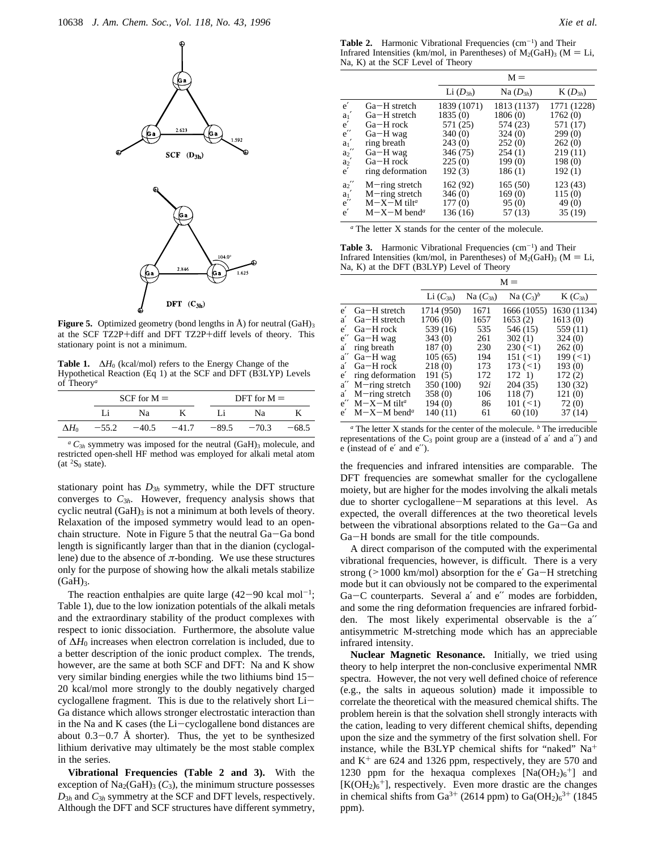



**Figure 5.** Optimized geometry (bond lengths in  $\AA$ ) for neutral (GaH)<sub>3</sub> at the SCF TZ2P+diff and DFT TZ2P+diff levels of theory. This stationary point is not a minimum.

**Table 1.** ∆*H*<sup>0</sup> (kcal/mol) refers to the Energy Change of the Hypothetical Reaction (Eq 1) at the SCF and DFT (B3LYP) Levels of Theory*<sup>a</sup>*

|              |         | $SCF$ for $M =$ |         |               | DFT for $M =$ |         |  |
|--------------|---------|-----------------|---------|---------------|---------------|---------|--|
|              |         | Nа              |         |               | Nа            |         |  |
| $\Delta H_0$ | $-55.2$ | $-40.5$         | $-41.7$ | $-89.5 -70.3$ |               | $-68.5$ |  |

 ${}^aC_{3h}$  symmetry was imposed for the neutral (GaH)<sub>3</sub> molecule, and restricted open-shell HF method was employed for alkali metal atom (at  ${}^{2}S_{0}$  state).

stationary point has *D*<sup>3</sup>*<sup>h</sup>* symmetry, while the DFT structure converges to *C*<sup>3</sup>*h*. However, frequency analysis shows that cyclic neutral  $(GaH)_3$  is not a minimum at both levels of theory. Relaxation of the imposed symmetry would lead to an openchain structure. Note in Figure 5 that the neutral Ga-Ga bond length is significantly larger than that in the dianion (cyclogallene) due to the absence of  $\pi$ -bonding. We use these structures only for the purpose of showing how the alkali metals stabilize  $(GaH)<sub>3</sub>$ .

The reaction enthalpies are quite large  $(42-90 \text{ kcal mol}^{-1})$ ; Table 1), due to the low ionization potentials of the alkali metals and the extraordinary stability of the product complexes with respect to ionic dissociation. Furthermore, the absolute value of ∆*H*<sup>0</sup> increases when electron correlation is included, due to a better description of the ionic product complex. The trends, however, are the same at both SCF and DFT: Na and K show very similar binding energies while the two lithiums bind 15- 20 kcal/mol more strongly to the doubly negatively charged cyclogallene fragment. This is due to the relatively short Li-Ga distance which allows stronger electrostatic interaction than in the Na and K cases (the Li-cyclogallene bond distances are about  $0.3-0.7$  Å shorter). Thus, the yet to be synthesized lithium derivative may ultimately be the most stable complex in the series.

**Vibrational Frequencies (Table 2 and 3).** With the exception of  $\text{Na}_2(\text{GaH})_3$  (C<sub>3</sub>), the minimum structure possesses *D*<sup>3</sup>*<sup>h</sup>* and *C*<sup>3</sup>*<sup>h</sup>* symmetry at the SCF and DFT levels, respectively. Although the DFT and SCF structures have different symmetry,

Table 2. Harmonic Vibrational Frequencies (cm<sup>-1</sup>) and Their Infrared Intensities (km/mol, in Parentheses) of  $M_2(GaH)_3$  (M = Li, Na, K) at the SCF Level of Theory

|                        |                           |               | $M =$         |             |
|------------------------|---------------------------|---------------|---------------|-------------|
|                        |                           | Li $(D_{3h})$ | Na $(D_{3h})$ | $K(D_{3h})$ |
| e'                     | $Ga-H$ stretch            | 1839 (1071)   | 1813 (1137)   | 1771 (1228) |
| $a_1'$                 | $Ga-H$ stretch            | 1835(0)       | 1806 (0)      | 1762(0)     |
| e'                     | Ga-H rock                 | 571 (25)      | 574 (23)      | 571 (17)    |
| $e^{\prime\prime}$     | $Ga-H$ wag                | 340(0)        | 324(0)        | 299(0)      |
| $a_1'$                 | ring breath               | 243(0)        | 252(0)        | 262(0)      |
| $a_2''$                | $Ga-H$ wag                | 346 (75)      | 254(1)        | 219(11)     |
| $a_2'$<br>e'           | Ga-H rock                 | 225(0)        | 199(0)        | 198(0)      |
|                        | ring deformation          | 192(3)        | 186(1)        | 192(1)      |
| ${a_2}^{\prime\prime}$ | $M$ -ring stretch         | 162 (92)      | 165(50)       | 123 (43)    |
| $a_1'$                 | $M$ -ring stretch         | 346(0)        | 169(0)        | 115(0)      |
| $e^{\prime\prime}$     | $M-X-M$ tilt <sup>a</sup> | 177(0)        | 95(0)         | 49(0)       |
| e'                     | $M-X-M$ bend <sup>a</sup> | 136 (16)      | 57 (13)       | 35 (19)     |

*<sup>a</sup>* The letter X stands for the center of the molecule.

Table 3. Harmonic Vibrational Frequencies (cm<sup>-1</sup>) and Their Infrared Intensities (km/mol, in Parentheses) of  $M_2(GaH)_3$  (M = Li, Na, K) at the DFT (B3LYP) Level of Theory

|                    |                           | $M =$              |               |              |             |
|--------------------|---------------------------|--------------------|---------------|--------------|-------------|
|                    |                           | Li $(C_{3h})$      | Na $(C_{3h})$ | Na $(C_3)^b$ | $K(C_{3h})$ |
| e'                 | $Ga-H$ stretch            | 1714 (950)         | 1671          | 1666 (1055)  | 1630 (1134) |
| a'                 | $Ga-H$ stretch            | 1706 (0)           | 1657          | 1653(2)      | 1613(0)     |
| $\epsilon'$        | $Ga-H$ rock               | 539 (16)           | 535           | 546 (15)     | 559 (11)    |
| $e^{\prime\prime}$ | $Ga-H$ wag                | 343(0)             | 261           | 302(1)       | 324(0)      |
| a'                 | ring breath               | 187(0)             | 230           | $230 (-1)$   | 262(0)      |
| $a^{\prime\prime}$ | $Ga-H$ wag                | 105(65)            | 194           | $151 (-1)$   | $199 (=1)$  |
| a'                 | $Ga-H$ rock               | 218(0)             | 173           | $173 (-1)$   | 193(0)      |
| e'                 | ring deformation          | 191(5)             | 172           | 172(1)       | 172(2)      |
| $a^{\prime\prime}$ | $M$ -ring stretch         | 350 (100)          | 92i           | 204 (35)     | 130 (32)    |
| a'                 | $M$ -ring stretch         | 358 <sub>(0)</sub> | 106           | 118(7)       | 121 (0)     |
| $e^{\prime\prime}$ | $M-X-M$ tilt <sup>a</sup> | 194(0)             | 86            | $101 (=1)$   | 72(0)       |
| e'                 | $M-X-M$ bend <sup>a</sup> | 140(11)            | 61            | 60(10)       | 37 (14)     |

*<sup>a</sup>* The letter X stands for the center of the molecule. *<sup>b</sup>* The irreducible representations of the  $C_3$  point group are a (instead of a' and a'') and e (instead of e′ and e′′).

the frequencies and infrared intensities are comparable. The DFT frequencies are somewhat smaller for the cyclogallene moiety, but are higher for the modes involving the alkali metals due to shorter cyclogallene-M separations at this level. As expected, the overall differences at the two theoretical levels between the vibrational absorptions related to the Ga-Ga and Ga-H bonds are small for the title compounds.

A direct comparison of the computed with the experimental vibrational frequencies, however, is difficult. There is a very strong ( $>1000$  km/mol) absorption for the e' Ga-H stretching mode but it can obviously not be compared to the experimental Ga-C counterparts. Several a′ and e′′ modes are forbidden, and some the ring deformation frequencies are infrared forbidden. The most likely experimental observable is the a′′ antisymmetric M-stretching mode which has an appreciable infrared intensity.

**Nuclear Magnetic Resonance.** Initially, we tried using theory to help interpret the non-conclusive experimental NMR spectra. However, the not very well defined choice of reference (e.g., the salts in aqueous solution) made it impossible to correlate the theoretical with the measured chemical shifts. The problem herein is that the solvation shell strongly interacts with the cation, leading to very different chemical shifts, depending upon the size and the symmetry of the first solvation shell. For instance, while the B3LYP chemical shifts for "naked" Na<sup>+</sup> and  $K^+$  are 624 and 1326 ppm, respectively, they are 570 and 1230 ppm for the hexaqua complexes  $[Na(OH<sub>2</sub>)<sub>6</sub><sup>+</sup>]$  and  $[K(OH<sub>2</sub>)<sub>6</sub><sup>+</sup>]$ , respectively. Even more drastic are the changes in chemical shifts from  $Ga^{3+}$  (2614 ppm) to  $Ga(OH_2)_6^{3+}$  (1845 ppm).